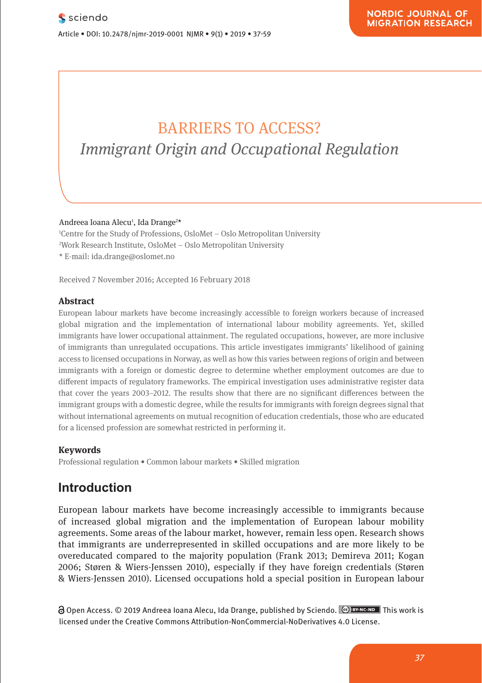# **BARRIERS TO ACCESS?** Immigrant Origin and Occupational Regulation

**Pharmacological and Mental Self-transformation in Ethic** 

### Andreea Ioana Alecu<sup>1</sup>, Ida Drange<sup>2\*</sup>

<sup>1</sup>Centre for the Study of Professions, OsloMet – Oslo Metropolitan University<br>Pharmacologische und mentale Selbstveränderung im 1999 2 Work Research Institute, OsloMet – Oslo Metropolitan University work Research Institute, Osiomet – Vergleichten Vergleichten vergleichtet.<br>E-mail: ida.drange@oslomet.no

Received 7 November 2016; Accepted 16 February 2018

#### **Abstract**

European labour markets have become increasingly accessible to foreign workers because of increased global migration and the implementation of international labour mobility agreements. Yet, skilled immigrants have lower occupational attainment. The regulated occupations, however, are more inclusive<br>Contract to the arguments developed around 1900. The main investigation and 1900. The main investigation and t of immigrants than unregulated occupations. This article investigates immigrants' likelihood of gaining of minigrants than antisymmetric computers. This article into again minigration minimized of gaming<br>access to licensed occupations in Norway, as well as how this varies between regions of origin and between immigrants with a foreign or domestic degree to determine whether employment outcomes are due to different impacts of regulatory frameworks. The empirical investigation uses administrative register data that cover the years 2003–2012. The results show that there are no significant differences between the that cover the years 2003–2012. The results show that there are no significant differences between the immigrant groups with a domestic degree, while the results for immigrants with foreign degrees signal that without international agreements on mutual recognition of education credentials, those who are educated for a licensed profession are somewhat restricted in performing it.

#### **Keywords**

Journal xyz 2017; 1 (2): 122–135

**1000**<br>Professional regulation • Common labour markets • Skilled migration

# **Introduction** also includes the period between the entry into force and period between the entry into force and

European labour markets have become increasingly accessible to immigrants because the presentation in its current version. Their function as part of the literary porof increased global migration and the implementation of European labour mobility agreements. Some areas of the labour market, however, remain less open. Research shows that immigrants are underrepresented in skilled occupations and are more likely to be overeducated compared to the majority population (Frank 2013; Demireva 2011; Kogan 2006; Støren & Wiers-Jenssen 2010), especially if they have foreign credentials (Støren & Wiers-Jenssen 2010). Licensed occupations hold a special position in European labour train fabour markets have become

Open Access. © 2019 Andreea Ioana Alecu, Ida Drange, published by Sciendo. **CO BYANC-ND** This work is licensed under the Creative Commons Attribution-NonCommercial-NoDerivatives 4.0 License. licensed under the Creative Commons Attribution-NonCommercial-NoDerivatives 4.0 License.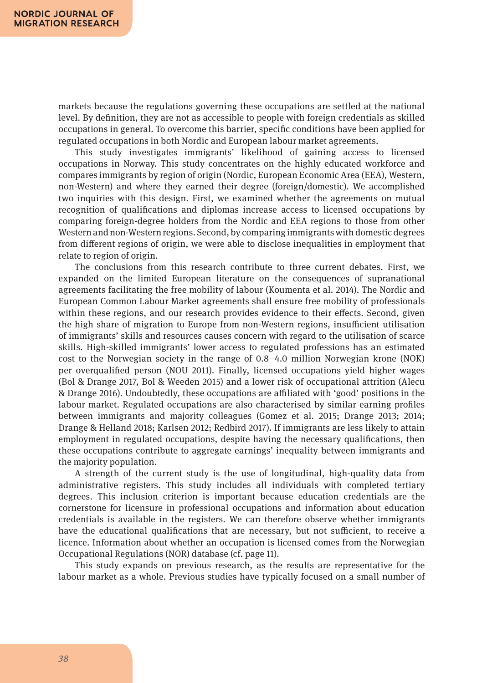markets because the regulations governing these occupations are settled at the national level. By definition, they are not as accessible to people with foreign credentials as skilled occupations in general. To overcome this barrier, specific conditions have been applied for regulated occupations in both Nordic and European labour market agreements.

This study investigates immigrants' likelihood of gaining access to licensed occupations in Norway. This study concentrates on the highly educated workforce and compares immigrants by region of origin (Nordic, European Economic Area (EEA), Western, non-Western) and where they earned their degree (foreign/domestic). We accomplished two inquiries with this design. First, we examined whether the agreements on mutual recognition of qualifications and diplomas increase access to licensed occupations by comparing foreign-degree holders from the Nordic and EEA regions to those from other Western and non-Western regions. Second, by comparing immigrants with domestic degrees from different regions of origin, we were able to disclose inequalities in employment that relate to region of origin.

The conclusions from this research contribute to three current debates. First, we expanded on the limited European literature on the consequences of supranational agreements facilitating the free mobility of labour (Koumenta et al. 2014). The Nordic and European Common Labour Market agreements shall ensure free mobility of professionals within these regions, and our research provides evidence to their effects. Second, given the high share of migration to Europe from non-Western regions, insufficient utilisation of immigrants' skills and resources causes concern with regard to the utilisation of scarce skills. High-skilled immigrants' lower access to regulated professions has an estimated cost to the Norwegian society in the range of 0.8–4.0 million Norwegian krone (NOK) per overqualified person (NOU 2011). Finally, licensed occupations yield higher wages (Bol & Drange 2017, Bol & Weeden 2015) and a lower risk of occupational attrition (Alecu & Drange 2016). Undoubtedly, these occupations are affiliated with 'good' positions in the labour market. Regulated occupations are also characterised by similar earning profiles between immigrants and majority colleagues (Gomez et al. 2015; Drange 2013; 2014; Drange & Helland 2018; Karlsen 2012; Redbird 2017). If immigrants are less likely to attain employment in regulated occupations, despite having the necessary qualifications, then these occupations contribute to aggregate earnings' inequality between immigrants and the majority population.

A strength of the current study is the use of longitudinal, high-quality data from administrative registers. This study includes all individuals with completed tertiary degrees. This inclusion criterion is important because education credentials are the cornerstone for licensure in professional occupations and information about education credentials is available in the registers. We can therefore observe whether immigrants have the educational qualifications that are necessary, but not sufficient, to receive a licence. Information about whether an occupation is licensed comes from the Norwegian Occupational Regulations (NOR) database (cf. page 11).

This study expands on previous research, as the results are representative for the labour market as a whole. Previous studies have typically focused on a small number of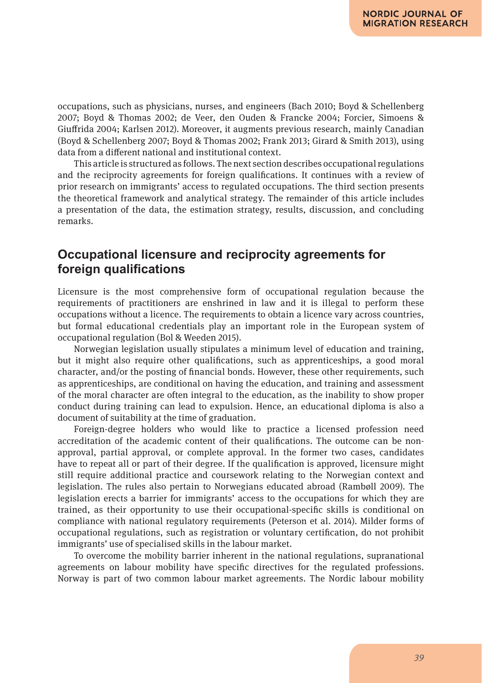occupations, such as physicians, nurses, and engineers (Bach 2010; Boyd & Schellenberg 2007; Boyd & Thomas 2002; de Veer, den Ouden & Francke 2004; Forcier, Simoens & Giuffrida 2004; Karlsen 2012). Moreover, it augments previous research, mainly Canadian (Boyd & Schellenberg 2007; Boyd & Thomas 2002; Frank 2013; Girard & Smith 2013), using data from a different national and institutional context.

This article is structured as follows. The next section describes occupational regulations and the reciprocity agreements for foreign qualifications. It continues with a review of prior research on immigrants' access to regulated occupations. The third section presents the theoretical framework and analytical strategy. The remainder of this article includes a presentation of the data, the estimation strategy, results, discussion, and concluding remarks.

# **Occupational licensure and reciprocity agreements for foreign qualifications**

Licensure is the most comprehensive form of occupational regulation because the requirements of practitioners are enshrined in law and it is illegal to perform these occupations without a licence. The requirements to obtain a licence vary across countries, but formal educational credentials play an important role in the European system of occupational regulation (Bol & Weeden 2015).

Norwegian legislation usually stipulates a minimum level of education and training, but it might also require other qualifications, such as apprenticeships, a good moral character, and/or the posting of financial bonds. However, these other requirements, such as apprenticeships, are conditional on having the education, and training and assessment of the moral character are often integral to the education, as the inability to show proper conduct during training can lead to expulsion. Hence, an educational diploma is also a document of suitability at the time of graduation.

Foreign-degree holders who would like to practice a licensed profession need accreditation of the academic content of their qualifications. The outcome can be nonapproval, partial approval, or complete approval. In the former two cases, candidates have to repeat all or part of their degree. If the qualification is approved, licensure might still require additional practice and coursework relating to the Norwegian context and legislation. The rules also pertain to Norwegians educated abroad (Rambøll 2009). The legislation erects a barrier for immigrants' access to the occupations for which they are trained, as their opportunity to use their occupational-specific skills is conditional on compliance with national regulatory requirements (Peterson et al. 2014). Milder forms of occupational regulations, such as registration or voluntary certification, do not prohibit immigrants' use of specialised skills in the labour market.

To overcome the mobility barrier inherent in the national regulations, supranational agreements on labour mobility have specific directives for the regulated professions. Norway is part of two common labour market agreements. The Nordic labour mobility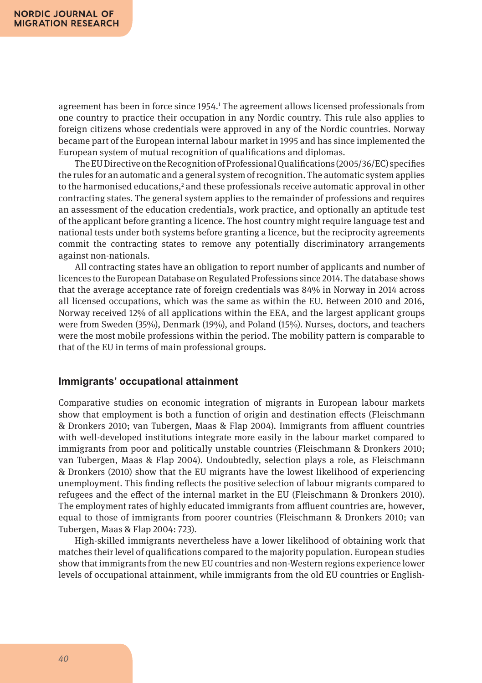agreement has been in force since 1954.<sup>1</sup> The agreement allows licensed professionals from one country to practice their occupation in any Nordic country. This rule also applies to foreign citizens whose credentials were approved in any of the Nordic countries. Norway became part of the European internal labour market in 1995 and has since implemented the European system of mutual recognition of qualifications and diplomas.

The EU Directive on the Recognition of Professional Qualifications (2005/36/EC) specifies the rules for an automatic and a general system of recognition. The automatic system applies to the harmonised educations, $^2$  and these professionals receive automatic approval in other contracting states. The general system applies to the remainder of professions and requires an assessment of the education credentials, work practice, and optionally an aptitude test of the applicant before granting a licence. The host country might require language test and national tests under both systems before granting a licence, but the reciprocity agreements commit the contracting states to remove any potentially discriminatory arrangements against non-nationals.

All contracting states have an obligation to report number of applicants and number of licences to the European Database on Regulated Professions since 2014. The database shows that the average acceptance rate of foreign credentials was 84% in Norway in 2014 across all licensed occupations, which was the same as within the EU. Between 2010 and 2016, Norway received 12% of all applications within the EEA, and the largest applicant groups were from Sweden (35%), Denmark (19%), and Poland (15%). Nurses, doctors, and teachers were the most mobile professions within the period. The mobility pattern is comparable to that of the EU in terms of main professional groups.

#### **Immigrants' occupational attainment**

Comparative studies on economic integration of migrants in European labour markets show that employment is both a function of origin and destination effects (Fleischmann & Dronkers 2010; van Tubergen, Maas & Flap 2004). Immigrants from affluent countries with well-developed institutions integrate more easily in the labour market compared to immigrants from poor and politically unstable countries (Fleischmann & Dronkers 2010; van Tubergen, Maas & Flap 2004). Undoubtedly, selection plays a role, as Fleischmann & Dronkers (2010) show that the EU migrants have the lowest likelihood of experiencing unemployment. This finding reflects the positive selection of labour migrants compared to refugees and the effect of the internal market in the EU (Fleischmann & Dronkers 2010). The employment rates of highly educated immigrants from affluent countries are, however, equal to those of immigrants from poorer countries (Fleischmann & Dronkers 2010; van Tubergen, Maas & Flap 2004: 723).

High-skilled immigrants nevertheless have a lower likelihood of obtaining work that matches their level of qualifications compared to the majority population. European studies show that immigrants from the new EU countries and non-Western regions experience lower levels of occupational attainment, while immigrants from the old EU countries or English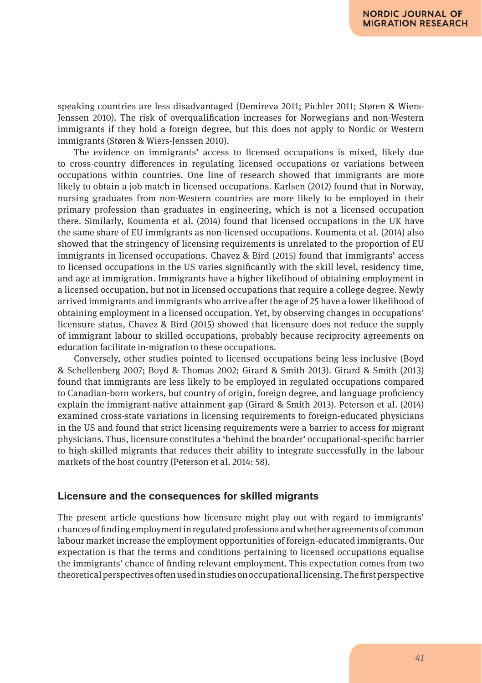speaking countries are less disadvantaged (Demireva 2011; Pichler 2011; Støren & Wiers-Jenssen 2010). The risk of overqualification increases for Norwegians and non-Western immigrants if they hold a foreign degree, but this does not apply to Nordic or Western immigrants (Støren & Wiers-Jenssen 2010).

The evidence on immigrants' access to licensed occupations is mixed, likely due to cross-country differences in regulating licensed occupations or variations between occupations within countries. One line of research showed that immigrants are more likely to obtain a job match in licensed occupations. Karlsen (2012) found that in Norway, nursing graduates from non-Western countries are more likely to be employed in their primary profession than graduates in engineering, which is not a licensed occupation there. Similarly, Koumenta et al. (2014) found that licensed occupations in the UK have the same share of EU immigrants as non-licensed occupations. Koumenta et al. (2014) also showed that the stringency of licensing requirements is unrelated to the proportion of EU immigrants in licensed occupations. Chavez & Bird (2015) found that immigrants' access to licensed occupations in the US varies significantly with the skill level, residency time, and age at immigration. Immigrants have a higher likelihood of obtaining employment in a licensed occupation, but not in licensed occupations that require a college degree. Newly arrived immigrants and immigrants who arrive after the age of 25 have a lower likelihood of obtaining employment in a licensed occupation. Yet, by observing changes in occupations' licensure status, Chavez & Bird (2015) showed that licensure does not reduce the supply of immigrant labour to skilled occupations, probably because reciprocity agreements on education facilitate in-migration to these occupations.

Conversely, other studies pointed to licensed occupations being less inclusive (Boyd & Schellenberg 2007; Boyd & Thomas 2002; Girard & Smith 2013). Girard & Smith (2013) found that immigrants are less likely to be employed in regulated occupations compared to Canadian-born workers, but country of origin, foreign degree, and language proficiency explain the immigrant-native attainment gap (Girard & Smith 2013). Peterson et al. (2014) examined cross-state variations in licensing requirements to foreign-educated physicians in the US and found that strict licensing requirements were a barrier to access for migrant physicians. Thus, licensure constitutes a 'behind the boarder' occupational-specific barrier to high-skilled migrants that reduces their ability to integrate successfully in the labour markets of the host country (Peterson et al. 2014: 58).

#### **Licensure and the consequences for skilled migrants**

The present article questions how licensure might play out with regard to immigrants' chances of finding employment in regulated professions and whether agreements of common labour market increase the employment opportunities of foreign-educated immigrants. Our expectation is that the terms and conditions pertaining to licensed occupations equalise the immigrants' chance of finding relevant employment. This expectation comes from two theoretical perspectives often used in studies on occupational licensing. The first perspective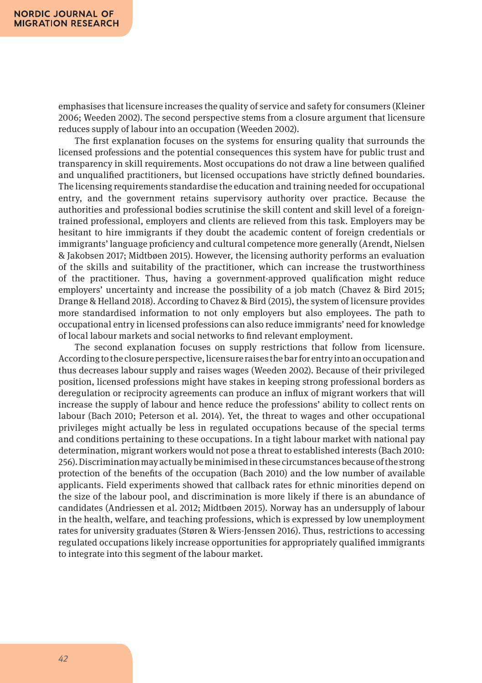emphasises that licensure increases the quality of service and safety for consumers (Kleiner 2006; Weeden 2002). The second perspective stems from a closure argument that licensure reduces supply of labour into an occupation (Weeden 2002).

The first explanation focuses on the systems for ensuring quality that surrounds the licensed professions and the potential consequences this system have for public trust and transparency in skill requirements. Most occupations do not draw a line between qualified and unqualified practitioners, but licensed occupations have strictly defined boundaries. The licensing requirements standardise the education and training needed for occupational entry, and the government retains supervisory authority over practice. Because the authorities and professional bodies scrutinise the skill content and skill level of a foreigntrained professional, employers and clients are relieved from this task. Employers may be hesitant to hire immigrants if they doubt the academic content of foreign credentials or immigrants' language proficiency and cultural competence more generally (Arendt, Nielsen & Jakobsen 2017; Midtbøen 2015). However, the licensing authority performs an evaluation of the skills and suitability of the practitioner, which can increase the trustworthiness of the practitioner. Thus, having a government-approved qualification might reduce employers' uncertainty and increase the possibility of a job match (Chavez & Bird 2015; Drange & Helland 2018). According to Chavez & Bird (2015), the system of licensure provides more standardised information to not only employers but also employees. The path to occupational entry in licensed professions can also reduce immigrants' need for knowledge of local labour markets and social networks to find relevant employment.

The second explanation focuses on supply restrictions that follow from licensure. According to the closure perspective, licensure raises the bar for entry into an occupation and thus decreases labour supply and raises wages (Weeden 2002). Because of their privileged position, licensed professions might have stakes in keeping strong professional borders as deregulation or reciprocity agreements can produce an influx of migrant workers that will increase the supply of labour and hence reduce the professions' ability to collect rents on labour (Bach 2010; Peterson et al. 2014). Yet, the threat to wages and other occupational privileges might actually be less in regulated occupations because of the special terms and conditions pertaining to these occupations. In a tight labour market with national pay determination, migrant workers would not pose a threat to established interests (Bach 2010: 256). Discrimination may actually be minimised in these circumstances because of the strong protection of the benefits of the occupation (Bach 2010) and the low number of available applicants. Field experiments showed that callback rates for ethnic minorities depend on the size of the labour pool, and discrimination is more likely if there is an abundance of candidates (Andriessen et al. 2012; Midtbøen 2015). Norway has an undersupply of labour in the health, welfare, and teaching professions, which is expressed by low unemployment rates for university graduates (Støren & Wiers-Jenssen 2016). Thus, restrictions to accessing regulated occupations likely increase opportunities for appropriately qualified immigrants to integrate into this segment of the labour market.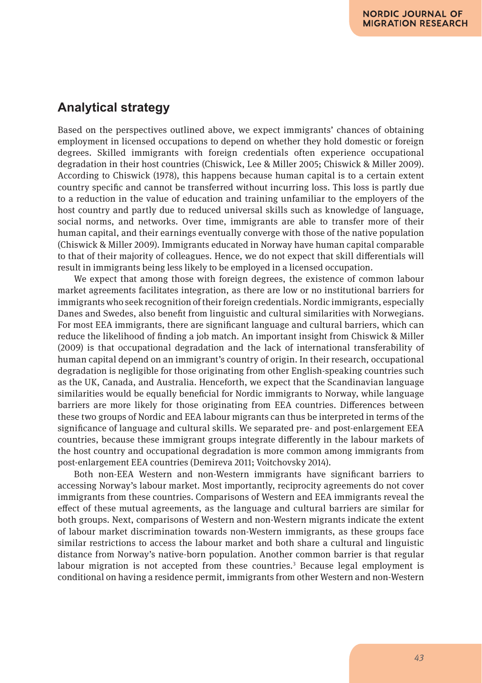# **Analytical strategy**

Based on the perspectives outlined above, we expect immigrants' chances of obtaining employment in licensed occupations to depend on whether they hold domestic or foreign degrees. Skilled immigrants with foreign credentials often experience occupational degradation in their host countries (Chiswick, Lee & Miller 2005; Chiswick & Miller 2009). According to Chiswick (1978), this happens because human capital is to a certain extent country specific and cannot be transferred without incurring loss. This loss is partly due to a reduction in the value of education and training unfamiliar to the employers of the host country and partly due to reduced universal skills such as knowledge of language, social norms, and networks. Over time, immigrants are able to transfer more of their human capital, and their earnings eventually converge with those of the native population (Chiswick & Miller 2009). Immigrants educated in Norway have human capital comparable to that of their majority of colleagues. Hence, we do not expect that skill differentials will result in immigrants being less likely to be employed in a licensed occupation.

We expect that among those with foreign degrees, the existence of common labour market agreements facilitates integration, as there are low or no institutional barriers for immigrants who seek recognition of their foreign credentials. Nordic immigrants, especially Danes and Swedes, also benefit from linguistic and cultural similarities with Norwegians. For most EEA immigrants, there are significant language and cultural barriers, which can reduce the likelihood of finding a job match. An important insight from Chiswick & Miller (2009) is that occupational degradation and the lack of international transferability of human capital depend on an immigrant's country of origin. In their research, occupational degradation is negligible for those originating from other English-speaking countries such as the UK, Canada, and Australia. Henceforth, we expect that the Scandinavian language similarities would be equally beneficial for Nordic immigrants to Norway, while language barriers are more likely for those originating from EEA countries. Differences between these two groups of Nordic and EEA labour migrants can thus be interpreted in terms of the significance of language and cultural skills. We separated pre- and post-enlargement EEA countries, because these immigrant groups integrate differently in the labour markets of the host country and occupational degradation is more common among immigrants from post-enlargement EEA countries (Demireva 2011; Voitchovsky 2014).

Both non-EEA Western and non-Western immigrants have significant barriers to accessing Norway's labour market. Most importantly, reciprocity agreements do not cover immigrants from these countries. Comparisons of Western and EEA immigrants reveal the effect of these mutual agreements, as the language and cultural barriers are similar for both groups. Next, comparisons of Western and non-Western migrants indicate the extent of labour market discrimination towards non-Western immigrants, as these groups face similar restrictions to access the labour market and both share a cultural and linguistic distance from Norway's native-born population. Another common barrier is that regular labour migration is not accepted from these countries.<sup>3</sup> Because legal employment is conditional on having a residence permit, immigrants from other Western and non-Western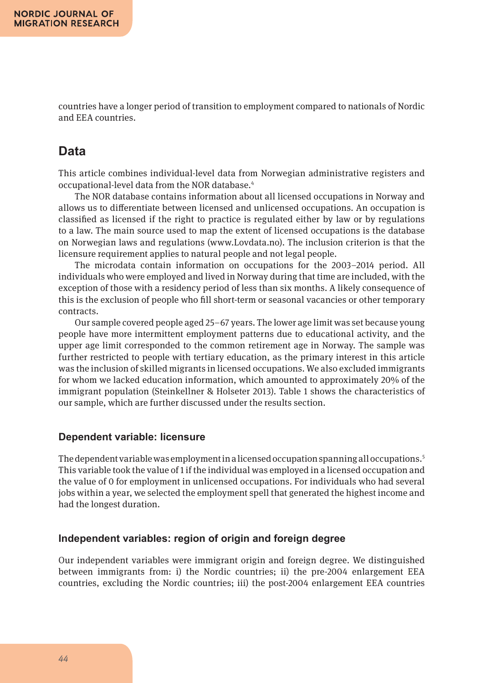countries have a longer period of transition to employment compared to nationals of Nordic and EEA countries.

## **Data**

This article combines individual-level data from Norwegian administrative registers and occupational-level data from the NOR database.4

The NOR database contains information about all licensed occupations in Norway and allows us to differentiate between licensed and unlicensed occupations. An occupation is classified as licensed if the right to practice is regulated either by law or by regulations to a law. The main source used to map the extent of licensed occupations is the database on Norwegian laws and regulations (www.Lovdata.no). The inclusion criterion is that the licensure requirement applies to natural people and not legal people.

The microdata contain information on occupations for the 2003–2014 period. All individuals who were employed and lived in Norway during that time are included, with the exception of those with a residency period of less than six months. A likely consequence of this is the exclusion of people who fill short-term or seasonal vacancies or other temporary contracts.

Our sample covered people aged 25–67 years. The lower age limit was set because young people have more intermittent employment patterns due to educational activity, and the upper age limit corresponded to the common retirement age in Norway. The sample was further restricted to people with tertiary education, as the primary interest in this article was the inclusion of skilled migrants in licensed occupations. We also excluded immigrants for whom we lacked education information, which amounted to approximately 20% of the immigrant population (Steinkellner & Holseter 2013). Table 1 shows the characteristics of our sample, which are further discussed under the results section.

#### **Dependent variable: licensure**

The dependent variable was employment in a licensed occupation spanning all occupations.5 This variable took the value of 1 if the individual was employed in a licensed occupation and the value of 0 for employment in unlicensed occupations. For individuals who had several jobs within a year, we selected the employment spell that generated the highest income and had the longest duration.

#### **Independent variables: region of origin and foreign degree**

Our independent variables were immigrant origin and foreign degree. We distinguished between immigrants from: i) the Nordic countries; ii) the pre-2004 enlargement EEA countries, excluding the Nordic countries; iii) the post-2004 enlargement EEA countries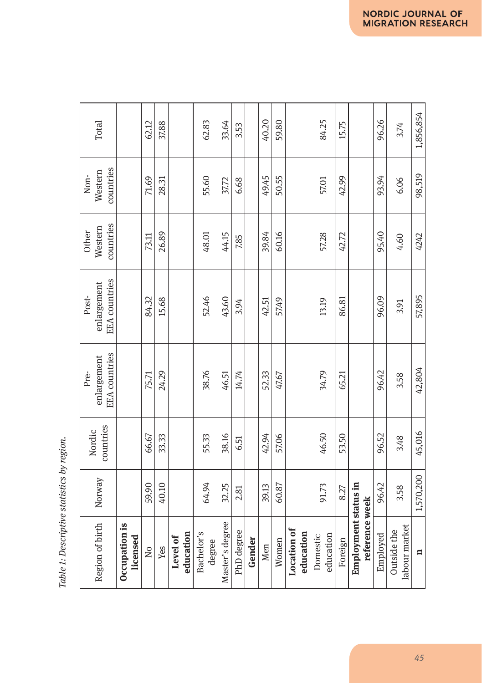Table 1: Descriptive statistics by region. *Table 1: Descriptive statistics by region.*

| Total                                        |                           | 62.12 | 37.88 |          |           | 62.83                | 33.64           | 3.53       |        | 40.20 | 59.80 |                          | 84.25                 | 15.75   |                                        | 96.26    | 3.74                         | 1,856,854      |
|----------------------------------------------|---------------------------|-------|-------|----------|-----------|----------------------|-----------------|------------|--------|-------|-------|--------------------------|-----------------------|---------|----------------------------------------|----------|------------------------------|----------------|
| countries<br>Western<br>Non-                 |                           | 71.69 | 28.31 |          |           | 55.60                | 37.72           | 6.68       |        | 49.45 | 50.55 |                          | 57.01                 | 42.99   |                                        | 93.94    | 6.06                         | 98,519         |
| countries<br>Western<br>Other                |                           | 73.11 | 26.89 |          |           | 48.01                | 44.15           | 7.85       |        | 39.84 | 60.16 |                          | 57.28                 | 42.72   |                                        | 95.40    | 4.60                         | 4242           |
| <b>EEA</b> countries<br>enlargement<br>Post- |                           | 84.32 | 15.68 |          |           | 52.46                | 43.60           | 3.94       |        | 42.51 | 57.49 |                          | 13.19                 | 86,81   |                                        | 96.09    | 3.91                         | 57,895         |
| <b>EEA</b> countries<br>enlargement<br>Pre-  |                           | 75.71 | 24.29 |          |           | 38.76                | 46.51           | 14.74      |        | 52.33 | 47.67 |                          | 34.79                 | 65.21   |                                        | 96.42    | 3.58                         | 42,804         |
| countries<br>Nordic                          |                           | 66.67 | 33.33 |          |           | 55.33                | 38.16           | 6.51       |        | 42.94 | 57.06 |                          | 46.50                 | 53.50   |                                        | 96.52    | 3.48                         | 45,016         |
| Norway                                       |                           | 59.90 | 40.10 |          |           | 64.94                | 32.25           | 2.81       |        | 39.13 | 60.87 |                          | 91.73                 | 8.27    |                                        | 96.42    | 3.58                         | 1,570,200      |
| Region of birth                              | Occupation is<br>licensed | ΔÓ    | Yes   | Level of | education | Bachelor's<br>degree | Master's degree | PhD degree | Gender | Men   | Women | Location of<br>education | education<br>Domestic | Foreign | Employment status in<br>reference week | Employed | labour market<br>Outside the | $\blacksquare$ |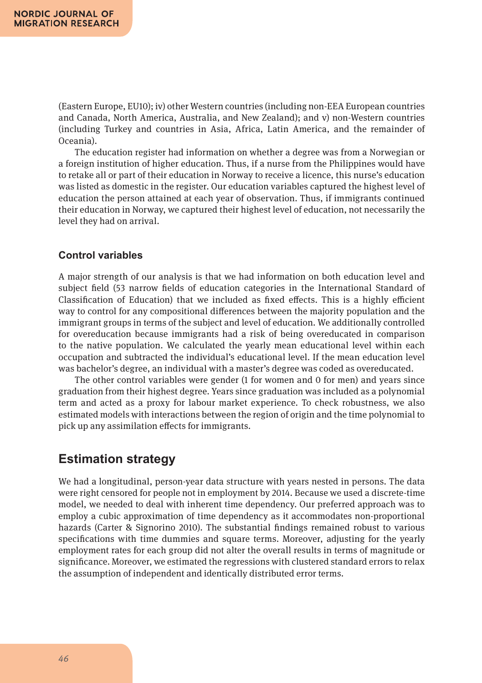(Eastern Europe, EU10); iv) other Western countries (including non-EEA European countries and Canada, North America, Australia, and New Zealand); and v) non-Western countries (including Turkey and countries in Asia, Africa, Latin America, and the remainder of Oceania).

The education register had information on whether a degree was from a Norwegian or a foreign institution of higher education. Thus, if a nurse from the Philippines would have to retake all or part of their education in Norway to receive a licence, this nurse's education was listed as domestic in the register. Our education variables captured the highest level of education the person attained at each year of observation. Thus, if immigrants continued their education in Norway, we captured their highest level of education, not necessarily the level they had on arrival.

#### **Control variables**

A major strength of our analysis is that we had information on both education level and subject field (53 narrow fields of education categories in the International Standard of Classification of Education) that we included as fixed effects. This is a highly efficient way to control for any compositional differences between the majority population and the immigrant groups in terms of the subject and level of education. We additionally controlled for overeducation because immigrants had a risk of being overeducated in comparison to the native population. We calculated the yearly mean educational level within each occupation and subtracted the individual's educational level. If the mean education level was bachelor's degree, an individual with a master's degree was coded as overeducated.

The other control variables were gender (1 for women and 0 for men) and years since graduation from their highest degree. Years since graduation was included as a polynomial term and acted as a proxy for labour market experience. To check robustness, we also estimated models with interactions between the region of origin and the time polynomial to pick up any assimilation effects for immigrants.

# **Estimation strategy**

We had a longitudinal, person-year data structure with years nested in persons. The data were right censored for people not in employment by 2014. Because we used a discrete-time model, we needed to deal with inherent time dependency. Our preferred approach was to employ a cubic approximation of time dependency as it accommodates non-proportional hazards (Carter & Signorino 2010). The substantial findings remained robust to various specifications with time dummies and square terms. Moreover, adjusting for the yearly employment rates for each group did not alter the overall results in terms of magnitude or significance. Moreover, we estimated the regressions with clustered standard errors to relax the assumption of independent and identically distributed error terms.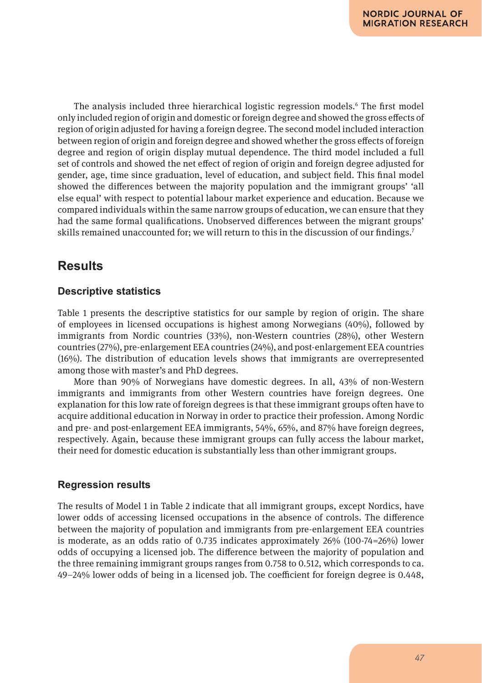The analysis included three hierarchical logistic regression models.6 The first model only included region of origin and domestic or foreign degree and showed the gross effects of region of origin adjusted for having a foreign degree. The second model included interaction between region of origin and foreign degree and showed whether the gross effects of foreign degree and region of origin display mutual dependence. The third model included a full set of controls and showed the net effect of region of origin and foreign degree adjusted for gender, age, time since graduation, level of education, and subject field. This final model showed the differences between the majority population and the immigrant groups' 'all else equal' with respect to potential labour market experience and education. Because we compared individuals within the same narrow groups of education, we can ensure that they had the same formal qualifications. Unobserved differences between the migrant groups' skills remained unaccounted for; we will return to this in the discussion of our findings.<sup>7</sup>

# **Results**

### **Descriptive statistics**

Table 1 presents the descriptive statistics for our sample by region of origin. The share of employees in licensed occupations is highest among Norwegians (40%), followed by immigrants from Nordic countries (33%), non-Western countries (28%), other Western countries (27%), pre-enlargement EEA countries (24%), and post-enlargement EEA countries (16%). The distribution of education levels shows that immigrants are overrepresented among those with master's and PhD degrees.

More than 90% of Norwegians have domestic degrees. In all, 43% of non-Western immigrants and immigrants from other Western countries have foreign degrees. One explanation for this low rate of foreign degrees is that these immigrant groups often have to acquire additional education in Norway in order to practice their profession. Among Nordic and pre- and post-enlargement EEA immigrants, 54%, 65%, and 87% have foreign degrees, respectively. Again, because these immigrant groups can fully access the labour market, their need for domestic education is substantially less than other immigrant groups.

### **Regression results**

The results of Model 1 in Table 2 indicate that all immigrant groups, except Nordics, have lower odds of accessing licensed occupations in the absence of controls. The difference between the majority of population and immigrants from pre-enlargement EEA countries is moderate, as an odds ratio of 0.735 indicates approximately 26% (100-74=26%) lower odds of occupying a licensed job. The difference between the majority of population and the three remaining immigrant groups ranges from 0.758 to 0.512, which corresponds to ca. 49–24% lower odds of being in a licensed job. The coefficient for foreign degree is 0.448,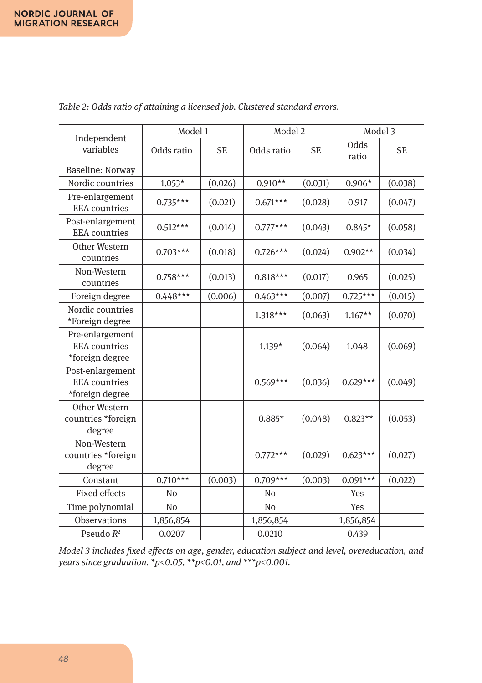|                                                             | Model 1    |           | Model 2        |           | Model 3       |           |  |
|-------------------------------------------------------------|------------|-----------|----------------|-----------|---------------|-----------|--|
| Independent<br>variables                                    | Odds ratio | <b>SE</b> | Odds ratio     | <b>SE</b> | Odds<br>ratio | <b>SE</b> |  |
| Baseline: Norway                                            |            |           |                |           |               |           |  |
| Nordic countries                                            | $1.053*$   | (0.026)   | $0.910**$      | (0.031)   | $0.906*$      | (0.038)   |  |
| Pre-enlargement<br><b>EEA</b> countries                     | $0.735***$ | (0.021)   | $0.671***$     | (0.028)   | 0.917         | (0.047)   |  |
| Post-enlargement<br><b>EEA</b> countries                    | $0.512***$ | (0.014)   | $0.777***$     | (0.043)   | $0.845*$      | (0.058)   |  |
| Other Western<br>countries                                  | $0.703***$ | (0.018)   | $0.726***$     | (0.024)   | $0.902**$     | (0.034)   |  |
| Non-Western<br>countries                                    | $0.758***$ | (0.013)   | $0.818***$     | (0.017)   | 0.965         | (0.025)   |  |
| Foreign degree                                              | $0.448***$ | (0.006)   | $0.463***$     | (0.007)   | $0.725***$    | (0.015)   |  |
| Nordic countries<br>*Foreign degree                         |            |           | $1.318***$     | (0.063)   | $1.167**$     | (0.070)   |  |
| Pre-enlargement<br><b>EEA</b> countries<br>*foreign degree  |            |           | $1.139*$       | (0.064)   | 1.048         | (0.069)   |  |
| Post-enlargement<br><b>EEA</b> countries<br>*foreign degree |            |           | $0.569***$     | (0.036)   | $0.629***$    | (0.049)   |  |
| Other Western<br>countries *foreign<br>degree               |            |           | $0.885*$       | (0.048)   | $0.823**$     | (0.053)   |  |
| Non-Western<br>countries *foreign<br>degree                 |            |           | $0.772***$     | (0.029)   | $0.623***$    | (0.027)   |  |
| Constant                                                    | $0.710***$ | (0.003)   | $0.709***$     | (0.003)   | $0.091***$    | (0.022)   |  |
| <b>Fixed effects</b>                                        | No         |           | N <sub>o</sub> |           | Yes           |           |  |
| Time polynomial                                             | No         |           | N <sub>o</sub> |           | Yes           |           |  |
| <b>Observations</b>                                         | 1,856,854  |           | 1,856,854      |           | 1,856,854     |           |  |
| Pseudo $R^2$                                                | 0.0207     |           | 0.0210         |           | 0.439         |           |  |

*Table 2: Odds ratio of attaining a licensed job. Clustered standard errors.* 

*Model 3 includes fixed effects on age, gender, education subject and level, overeducation, and years since graduation. \*p<0.05, \*\*p<0.01, and \*\*\*p<0.001.*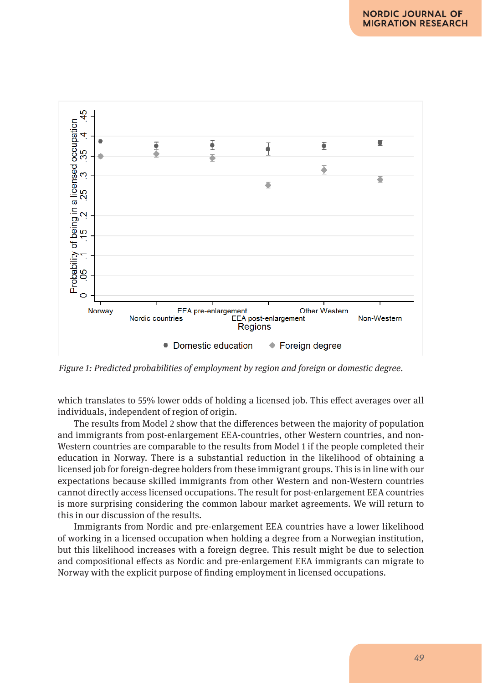

*Figure 1: Predicted probabilities of employment by region and foreign or domestic degree.* 

which translates to 55% lower odds of holding a licensed job. This effect averages over all individuals, independent of region of origin.

The results from Model 2 show that the differences between the majority of population and immigrants from post-enlargement EEA-countries, other Western countries, and non-Western countries are comparable to the results from Model 1 if the people completed their education in Norway. There is a substantial reduction in the likelihood of obtaining a licensed job for foreign-degree holders from these immigrant groups. This is in line with our expectations because skilled immigrants from other Western and non-Western countries cannot directly access licensed occupations. The result for post-enlargement EEA countries is more surprising considering the common labour market agreements. We will return to this in our discussion of the results.

Immigrants from Nordic and pre-enlargement EEA countries have a lower likelihood of working in a licensed occupation when holding a degree from a Norwegian institution, but this likelihood increases with a foreign degree. This result might be due to selection and compositional effects as Nordic and pre-enlargement EEA immigrants can migrate to Norway with the explicit purpose of finding employment in licensed occupations.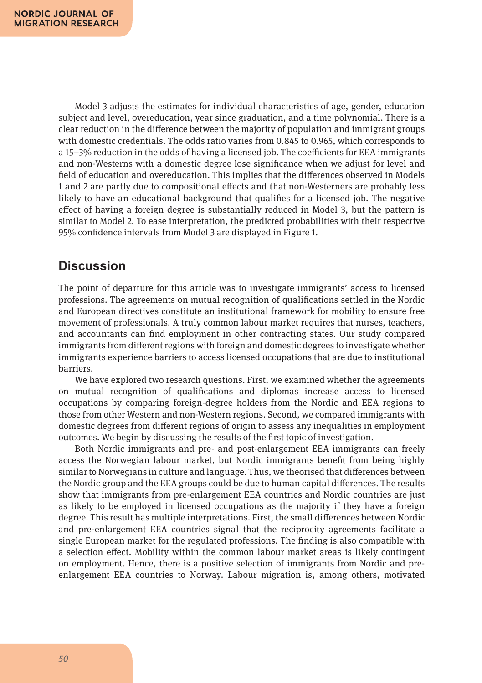Model 3 adjusts the estimates for individual characteristics of age, gender, education subject and level, overeducation, year since graduation, and a time polynomial. There is a clear reduction in the difference between the majority of population and immigrant groups with domestic credentials. The odds ratio varies from 0.845 to 0.965, which corresponds to a 15–3% reduction in the odds of having a licensed job. The coefficients for EEA immigrants and non-Westerns with a domestic degree lose significance when we adjust for level and field of education and overeducation. This implies that the differences observed in Models 1 and 2 are partly due to compositional effects and that non-Westerners are probably less likely to have an educational background that qualifies for a licensed job. The negative effect of having a foreign degree is substantially reduced in Model 3, but the pattern is similar to Model 2. To ease interpretation, the predicted probabilities with their respective 95% confidence intervals from Model 3 are displayed in Figure 1.

# **Discussion**

The point of departure for this article was to investigate immigrants' access to licensed professions. The agreements on mutual recognition of qualifications settled in the Nordic and European directives constitute an institutional framework for mobility to ensure free movement of professionals. A truly common labour market requires that nurses, teachers, and accountants can find employment in other contracting states. Our study compared immigrants from different regions with foreign and domestic degrees to investigate whether immigrants experience barriers to access licensed occupations that are due to institutional barriers.

We have explored two research questions. First, we examined whether the agreements on mutual recognition of qualifications and diplomas increase access to licensed occupations by comparing foreign-degree holders from the Nordic and EEA regions to those from other Western and non-Western regions. Second, we compared immigrants with domestic degrees from different regions of origin to assess any inequalities in employment outcomes. We begin by discussing the results of the first topic of investigation.

Both Nordic immigrants and pre- and post-enlargement EEA immigrants can freely access the Norwegian labour market, but Nordic immigrants benefit from being highly similar to Norwegians in culture and language. Thus, we theorised that differences between the Nordic group and the EEA groups could be due to human capital differences. The results show that immigrants from pre-enlargement EEA countries and Nordic countries are just as likely to be employed in licensed occupations as the majority if they have a foreign degree. This result has multiple interpretations. First, the small differences between Nordic and pre-enlargement EEA countries signal that the reciprocity agreements facilitate a single European market for the regulated professions. The finding is also compatible with a selection effect. Mobility within the common labour market areas is likely contingent on employment. Hence, there is a positive selection of immigrants from Nordic and preenlargement EEA countries to Norway. Labour migration is, among others, motivated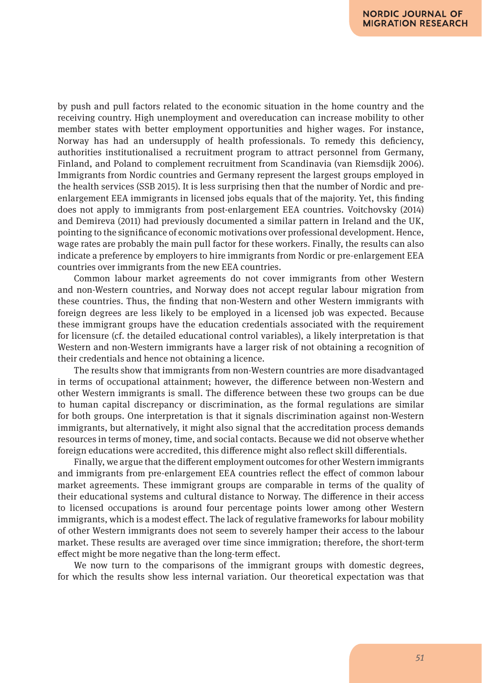by push and pull factors related to the economic situation in the home country and the receiving country. High unemployment and overeducation can increase mobility to other member states with better employment opportunities and higher wages. For instance, Norway has had an undersupply of health professionals. To remedy this deficiency, authorities institutionalised a recruitment program to attract personnel from Germany, Finland, and Poland to complement recruitment from Scandinavia (van Riemsdijk 2006). Immigrants from Nordic countries and Germany represent the largest groups employed in the health services (SSB 2015). It is less surprising then that the number of Nordic and preenlargement EEA immigrants in licensed jobs equals that of the majority. Yet, this finding does not apply to immigrants from post-enlargement EEA countries. Voitchovsky (2014) and Demireva (2011) had previously documented a similar pattern in Ireland and the UK, pointing to the significance of economic motivations over professional development. Hence, wage rates are probably the main pull factor for these workers. Finally, the results can also indicate a preference by employers to hire immigrants from Nordic or pre-enlargement EEA countries over immigrants from the new EEA countries.

Common labour market agreements do not cover immigrants from other Western and non-Western countries, and Norway does not accept regular labour migration from these countries. Thus, the finding that non-Western and other Western immigrants with foreign degrees are less likely to be employed in a licensed job was expected. Because these immigrant groups have the education credentials associated with the requirement for licensure (cf. the detailed educational control variables), a likely interpretation is that Western and non-Western immigrants have a larger risk of not obtaining a recognition of their credentials and hence not obtaining a licence.

The results show that immigrants from non-Western countries are more disadvantaged in terms of occupational attainment; however, the difference between non-Western and other Western immigrants is small. The difference between these two groups can be due to human capital discrepancy or discrimination, as the formal regulations are similar for both groups. One interpretation is that it signals discrimination against non-Western immigrants, but alternatively, it might also signal that the accreditation process demands resources in terms of money, time, and social contacts. Because we did not observe whether foreign educations were accredited, this difference might also reflect skill differentials.

Finally, we argue that the different employment outcomes for other Western immigrants and immigrants from pre-enlargement EEA countries reflect the effect of common labour market agreements. These immigrant groups are comparable in terms of the quality of their educational systems and cultural distance to Norway. The difference in their access to licensed occupations is around four percentage points lower among other Western immigrants, which is a modest effect. The lack of regulative frameworks for labour mobility of other Western immigrants does not seem to severely hamper their access to the labour market. These results are averaged over time since immigration; therefore, the short-term effect might be more negative than the long-term effect.

We now turn to the comparisons of the immigrant groups with domestic degrees, for which the results show less internal variation. Our theoretical expectation was that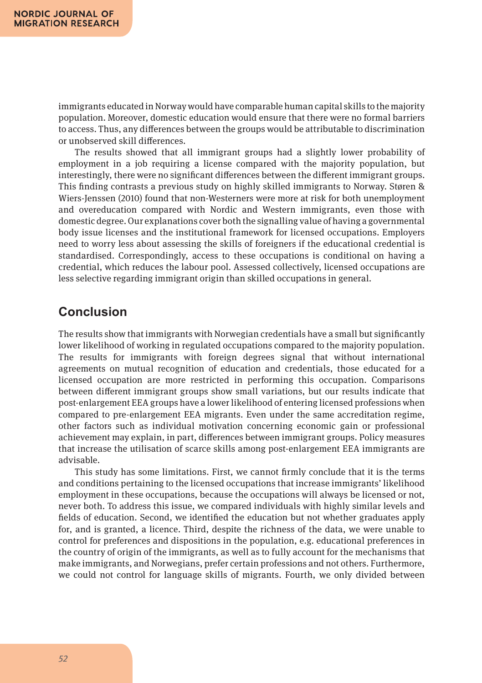immigrants educated in Norway would have comparable human capital skills to the majority population. Moreover, domestic education would ensure that there were no formal barriers to access. Thus, any differences between the groups would be attributable to discrimination or unobserved skill differences.

The results showed that all immigrant groups had a slightly lower probability of employment in a job requiring a license compared with the majority population, but interestingly, there were no significant differences between the different immigrant groups. This finding contrasts a previous study on highly skilled immigrants to Norway. Støren & Wiers-Jenssen (2010) found that non-Westerners were more at risk for both unemployment and overeducation compared with Nordic and Western immigrants, even those with domestic degree. Our explanations cover both the signalling value of having a governmental body issue licenses and the institutional framework for licensed occupations. Employers need to worry less about assessing the skills of foreigners if the educational credential is standardised. Correspondingly, access to these occupations is conditional on having a credential, which reduces the labour pool. Assessed collectively, licensed occupations are less selective regarding immigrant origin than skilled occupations in general.

# **Conclusion**

The results show that immigrants with Norwegian credentials have a small but significantly lower likelihood of working in regulated occupations compared to the majority population. The results for immigrants with foreign degrees signal that without international agreements on mutual recognition of education and credentials, those educated for a licensed occupation are more restricted in performing this occupation. Comparisons between different immigrant groups show small variations, but our results indicate that post-enlargement EEA groups have a lower likelihood of entering licensed professions when compared to pre-enlargement EEA migrants. Even under the same accreditation regime, other factors such as individual motivation concerning economic gain or professional achievement may explain, in part, differences between immigrant groups. Policy measures that increase the utilisation of scarce skills among post-enlargement EEA immigrants are advisable.

This study has some limitations. First, we cannot firmly conclude that it is the terms and conditions pertaining to the licensed occupations that increase immigrants' likelihood employment in these occupations, because the occupations will always be licensed or not, never both. To address this issue, we compared individuals with highly similar levels and fields of education. Second, we identified the education but not whether graduates apply for, and is granted, a licence. Third, despite the richness of the data, we were unable to control for preferences and dispositions in the population, e.g. educational preferences in the country of origin of the immigrants, as well as to fully account for the mechanisms that make immigrants, and Norwegians, prefer certain professions and not others. Furthermore, we could not control for language skills of migrants. Fourth, we only divided between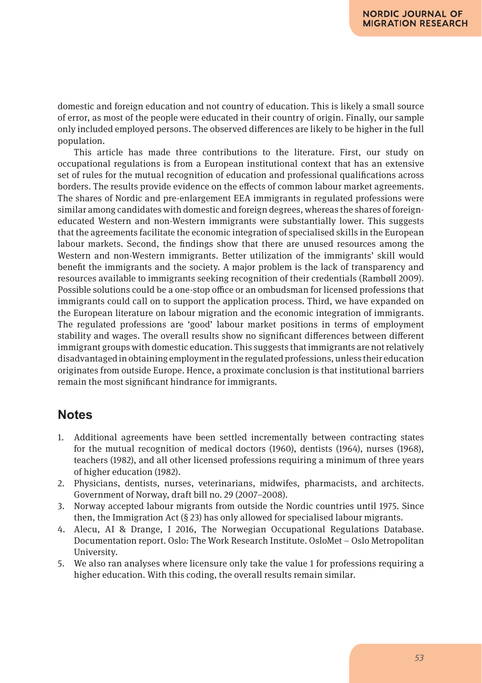domestic and foreign education and not country of education. This is likely a small source of error, as most of the people were educated in their country of origin. Finally, our sample only included employed persons. The observed differences are likely to be higher in the full population.

This article has made three contributions to the literature. First, our study on occupational regulations is from a European institutional context that has an extensive set of rules for the mutual recognition of education and professional qualifications across borders. The results provide evidence on the effects of common labour market agreements. The shares of Nordic and pre-enlargement EEA immigrants in regulated professions were similar among candidates with domestic and foreign degrees, whereas the shares of foreigneducated Western and non-Western immigrants were substantially lower. This suggests that the agreements facilitate the economic integration of specialised skills in the European labour markets. Second, the findings show that there are unused resources among the Western and non-Western immigrants. Better utilization of the immigrants' skill would benefit the immigrants and the society. A major problem is the lack of transparency and resources available to immigrants seeking recognition of their credentials (Rambøll 2009). Possible solutions could be a one-stop office or an ombudsman for licensed professions that immigrants could call on to support the application process. Third, we have expanded on the European literature on labour migration and the economic integration of immigrants. The regulated professions are 'good' labour market positions in terms of employment stability and wages. The overall results show no significant differences between different immigrant groups with domestic education. This suggests that immigrants are not relatively disadvantaged in obtaining employment in the regulated professions, unless their education originates from outside Europe. Hence, a proximate conclusion is that institutional barriers remain the most significant hindrance for immigrants.

# **Notes**

- 1. Additional agreements have been settled incrementally between contracting states for the mutual recognition of medical doctors (1960), dentists (1964), nurses (1968), teachers (1982), and all other licensed professions requiring a minimum of three years of higher education (1982).
- 2. Physicians, dentists, nurses, veterinarians, midwifes, pharmacists, and architects. Government of Norway, draft bill no. 29 (2007–2008).
- 3. Norway accepted labour migrants from outside the Nordic countries until 1975. Since then, the Immigration Act (§ 23) has only allowed for specialised labour migrants.
- 4. Alecu, AI & Drange, I 2016, The Norwegian Occupational Regulations Database. Documentation report. Oslo: The Work Research Institute. OsloMet – Oslo Metropolitan University.
- 5. We also ran analyses where licensure only take the value 1 for professions requiring a higher education. With this coding, the overall results remain similar.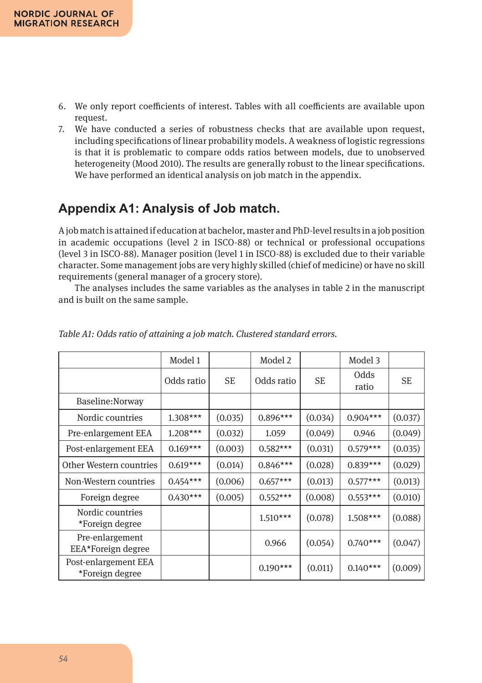- 6. We only report coefficients of interest. Tables with all coefficients are available upon request.
- 7. We have conducted a series of robustness checks that are available upon request, including specifications of linear probability models. A weakness of logistic regressions is that it is problematic to compare odds ratios between models, due to unobserved heterogeneity (Mood 2010). The results are generally robust to the linear specifications. We have performed an identical analysis on job match in the appendix.

# **Appendix A1: Analysis of Job match.**

A job match is attained if education at bachelor, master and PhD-level results in a job position in academic occupations (level 2 in ISCO-88) or technical or professional occupations (level 3 in ISCO-88). Manager position (level 1 in ISCO-88) is excluded due to their variable character. Some management jobs are very highly skilled (chief of medicine) or have no skill requirements (general manager of a grocery store).

The analyses includes the same variables as the analyses in table 2 in the manuscript and is built on the same sample.

|                                         | Model 1    |         | Model 2    |           | Model 3       |           |
|-----------------------------------------|------------|---------|------------|-----------|---------------|-----------|
|                                         | Odds ratio | SE      | Odds ratio | <b>SE</b> | Odds<br>ratio | <b>SE</b> |
| Baseline:Norway                         |            |         |            |           |               |           |
| Nordic countries                        | $1.308***$ | (0.035) | $0.896***$ | (0.034)   | $0.904***$    | (0.037)   |
| Pre-enlargement EEA                     | $1.208***$ | (0.032) | 1.059      | (0.049)   | 0.946         | (0.049)   |
| Post-enlargement EEA                    | $0.169***$ | (0.003) | $0.582***$ | (0.031)   | $0.579***$    | (0.035)   |
| Other Western countries                 | $0.619***$ | (0.014) | $0.846***$ | (0.028)   | $0.839***$    | (0.029)   |
| Non-Western countries                   | $0.454***$ | (0.006) | $0.657***$ | (0.013)   | $0.577***$    | (0.013)   |
| Foreign degree                          | $0.430***$ | (0.005) | $0.552***$ | (0.008)   | $0.553***$    | (0.010)   |
| Nordic countries<br>*Foreign degree     |            |         | $1.510***$ | (0.078)   | $1.508***$    | (0.088)   |
| Pre-enlargement<br>EEA*Foreign degree   |            |         | 0.966      | (0.054)   | $0.740***$    | (0.047)   |
| Post-enlargement EEA<br>*Foreign degree |            |         | $0.190***$ | (0.011)   | $0.140***$    | (0.009)   |

*Table A1: Odds ratio of attaining a job match. Clustered standard errors.*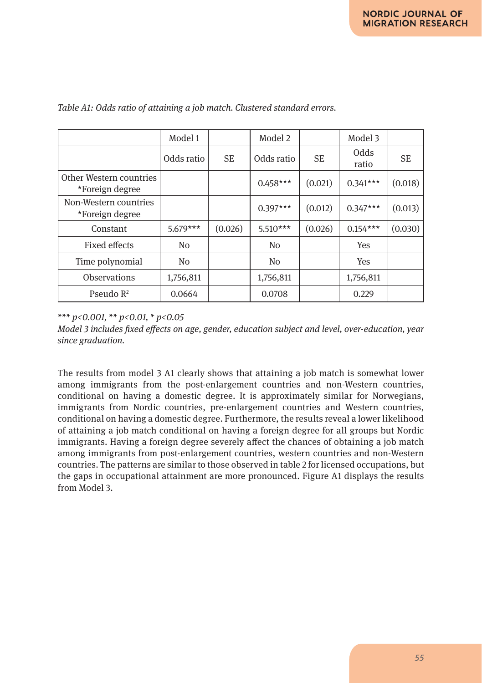|                                            | Model 1        |           | Model 2        |           | Model 3       |           |
|--------------------------------------------|----------------|-----------|----------------|-----------|---------------|-----------|
|                                            | Odds ratio     | <b>SE</b> | Odds ratio     | <b>SE</b> | Odds<br>ratio | <b>SE</b> |
| Other Western countries<br>*Foreign degree |                |           | $0.458***$     | (0.021)   | $0.341***$    | (0.018)   |
| Non-Western countries<br>*Foreign degree   |                |           | $0.397***$     | (0.012)   | $0.347***$    | (0.013)   |
| Constant                                   | $5.679***$     | (0.026)   | $5.510***$     | (0.026)   | $0.154***$    | (0.030)   |
| <b>Fixed effects</b>                       | N <sub>0</sub> |           | N <sub>o</sub> |           | <b>Yes</b>    |           |
| Time polynomial                            | N <sub>0</sub> |           | No             |           | Yes           |           |
| Observations                               | 1,756,811      |           | 1,756,811      |           | 1,756,811     |           |
| Pseudo $R^2$                               | 0.0664         |           | 0.0708         |           | 0.229         |           |

#### *Table A1: Odds ratio of attaining a job match. Clustered standard errors.*

*\*\*\* p<0.001, \*\* p<0.01, \* p<0.05*

*Model 3 includes fixed effects on age, gender, education subject and level, over-education, year since graduation.*

The results from model 3 A1 clearly shows that attaining a job match is somewhat lower among immigrants from the post-enlargement countries and non-Western countries, conditional on having a domestic degree. It is approximately similar for Norwegians, immigrants from Nordic countries, pre-enlargement countries and Western countries, conditional on having a domestic degree. Furthermore, the results reveal a lower likelihood of attaining a job match conditional on having a foreign degree for all groups but Nordic immigrants. Having a foreign degree severely affect the chances of obtaining a job match among immigrants from post-enlargement countries, western countries and non-Western countries. The patterns are similar to those observed in table 2 for licensed occupations, but the gaps in occupational attainment are more pronounced. Figure A1 displays the results from Model 3.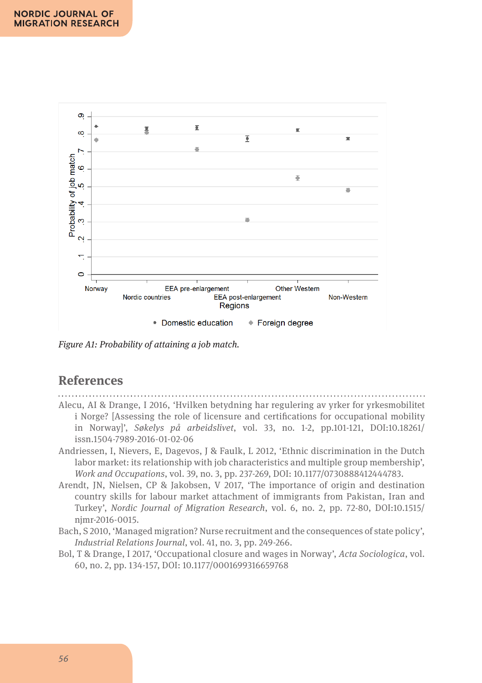

*Figure A1: Probability of attaining a job match.*

### **References**

- Alecu, AI & Drange, I 2016, 'Hvilken betydning har regulering av yrker for yrkesmobilitet i Norge? [Assessing the role of licensure and certifications for occupational mobility in Norway]', *Søkelys på arbeidslivet*, vol. 33, no. 1-2, pp.101-121, DOI:10.18261/ issn.1504-7989-2016-01-02-06
- Andriessen, I, Nievers, E, Dagevos, J & Faulk, L 2012, 'Ethnic discrimination in the Dutch labor market: its relationship with job characteristics and multiple group membership', *Work and Occupations*, vol. 39, no. 3, pp. 237-269, DOI: 10.1177/0730888412444783.
- Arendt, JN, Nielsen, CP & Jakobsen, V 2017, 'The importance of origin and destination country skills for labour market attachment of immigrants from Pakistan, Iran and Turkey', *Nordic Journal of Migration Research*, vol. 6, no. 2, pp. 72-80, DOI:10.1515/ njmr-2016-0015.
- Bach, S 2010, 'Managed migration? Nurse recruitment and the consequences of state policy', *Industrial Relations Journal*, vol. 41, no. 3, pp. 249-266.
- Bol, T & Drange, I 2017, 'Occupational closure and wages in Norway', *Acta Sociologica*, vol. 60, no. 2, pp. 134-157, DOI: 10.1177/0001699316659768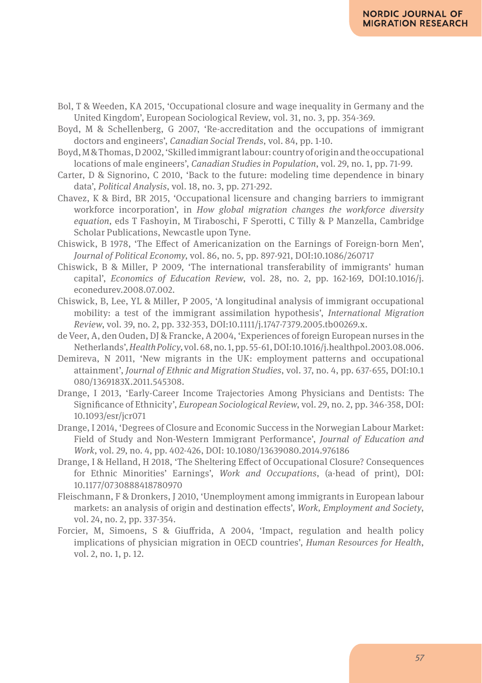- Bol, T & Weeden, KA 2015, 'Occupational closure and wage inequality in Germany and the United Kingdom', European Sociological Review, vol. 31, no. 3, pp. 354-369.
- Boyd, M & Schellenberg, G 2007, 'Re-accreditation and the occupations of immigrant doctors and engineers', *Canadian Social Trends*, vol. 84, pp. 1-10.
- Boyd, M & Thomas, D 2002, 'Skilled immigrant labour: country of origin and the occupational locations of male engineers', *Canadian Studies in Population*, vol. 29, no. 1, pp. 71-99.
- Carter, D & Signorino, C 2010, 'Back to the future: modeling time dependence in binary data', *Political Analysis*, vol. 18, no. 3, pp. 271-292.
- Chavez, K & Bird, BR 2015, 'Occupational licensure and changing barriers to immigrant workforce incorporation', in *How global migration changes the workforce diversity equation*, eds T Fashoyin, M Tiraboschi, F Sperotti, C Tilly & P Manzella, Cambridge Scholar Publications, Newcastle upon Tyne.
- Chiswick, B 1978, 'The Effect of Americanization on the Earnings of Foreign-born Men', *Journal of Political Economy*, vol. 86, no. 5, pp. 897-921, DOI:10.1086/260717
- Chiswick, B & Miller, P 2009, 'The international transferability of immigrants' human capital', *Economics of Education Review*, vol. 28, no. 2, pp. 162-169, DOI:10.1016/j. econedurev.2008.07.002.
- Chiswick, B, Lee, YL & Miller, P 2005, 'A longitudinal analysis of immigrant occupational mobility: a test of the immigrant assimilation hypothesis', *International Migration Review*, vol. 39, no. 2, pp. 332-353, DOI:10.1111/j.1747-7379.2005.tb00269.x.
- de Veer, A, den Ouden, DJ & Francke, A 2004, 'Experiences of foreign European nurses in the Netherlands', *Health Policy*, vol. 68, no. 1, pp. 55-61, DOI:10.1016/j.healthpol.2003.08.006.
- Demireva, N 2011, 'New migrants in the UK: employment patterns and occupational attainment', *Journal of Ethnic and Migration Studies*, vol. 37, no. 4, pp. 637-655, DOI:10.1 080/1369183X.2011.545308.
- Drange, I 2013, 'Early-Career Income Trajectories Among Physicians and Dentists: The Significance of Ethnicity', *European Sociological Review*, vol. 29, no. 2, pp. 346-358, DOI: 10.1093/esr/jcr071
- Drange, I 2014, 'Degrees of Closure and Economic Success in the Norwegian Labour Market: Field of Study and Non-Western Immigrant Performance', *Journal of Education and Work*, vol. 29, no. 4, pp. 402-426, DOI: 10.1080/13639080.2014.976186
- Drange, I & Helland, H 2018, 'The Sheltering Effect of Occupational Closure? Consequences for Ethnic Minorities' Earnings', *Work and Occupations*, (a-head of print), DOI: 10.1177/0730888418780970
- Fleischmann, F & Dronkers, J 2010, 'Unemployment among immigrants in European labour markets: an analysis of origin and destination effects', *Work, Employment and Society*, vol. 24, no. 2, pp. 337-354.
- Forcier, M, Simoens, S & Giuffrida, A 2004, 'Impact, regulation and health policy implications of physician migration in OECD countries', *Human Resources for Health*, vol. 2, no. 1, p. 12.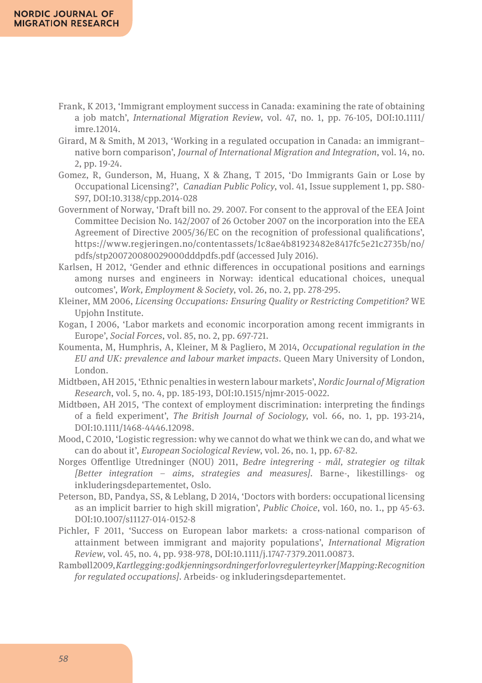- Frank, K 2013, 'Immigrant employment success in Canada: examining the rate of obtaining a job match', *International Migration Review*, vol. 47, no. 1, pp. 76-105, DOI:10.1111/ imre.12014.
- Girard, M & Smith, M 2013, 'Working in a regulated occupation in Canada: an immigrant– native born comparison', *Journal of International Migration and Integration*, vol. 14, no. 2, pp. 19-24.
- Gomez, R, Gunderson, M, Huang, X & Zhang, T 2015, 'Do Immigrants Gain or Lose by Occupational Licensing?', *Canadian Public Policy*, vol. 41, Issue supplement 1, pp. S80- S97, DOI:10.3138/cpp.2014-028
- Government of Norway, 'Draft bill no. 29. 2007. For consent to the approval of the EEA Joint Committee Decision No. 142/2007 of 26 October 2007 on the incorporation into the EEA Agreement of Directive 2005/36/EC on the recognition of professional qualifications', https://www.regjeringen.no/contentassets/1c8ae4b81923482e8417fc5e21c2735b/no/ pdfs/stp200720080029000dddpdfs.pdf (accessed July 2016).
- Karlsen, H 2012, 'Gender and ethnic differences in occupational positions and earnings among nurses and engineers in Norway: identical educational choices, unequal outcomes', *Work, Employment & Society*, vol. 26, no. 2, pp. 278-295.
- Kleiner, MM 2006, *Licensing Occupations: Ensuring Quality or Restricting Competition?* WE Upjohn Institute.
- Kogan, I 2006, 'Labor markets and economic incorporation among recent immigrants in Europe', *Social Forces*, vol. 85, no. 2, pp. 697-721.
- Koumenta, M, Humphris, A, Kleiner, M & Pagliero, M 2014, *Occupational regulation in the EU and UK: prevalence and labour market impacts*. Queen Mary University of London, London.
- Midtbøen, AH 2015, 'Ethnic penalties in western labour markets', *Nordic Journal of Migration Research*, vol. 5, no. 4, pp. 185-193, DOI:10.1515/njmr-2015-0022.
- Midtbøen, AH 2015, 'The context of employment discrimination: interpreting the findings of a field experiment', *The British Journal of Sociology*, vol. 66, no. 1, pp. 193-214, DOI:10.1111/1468-4446.12098.
- Mood, C 2010, 'Logistic regression: why we cannot do what we think we can do, and what we can do about it', *European Sociological Review*, vol. 26, no. 1, pp. 67-82.
- Norges Offentlige Utredninger (NOU) 2011, *Bedre integrering mål, strategier og tiltak [Better integration – aims, strategies and measures]*. Barne-, likestillings- og inkluderingsdepartementet, Oslo.
- Peterson, BD, Pandya, SS, & Leblang, D 2014, 'Doctors with borders: occupational licensing as an implicit barrier to high skill migration', *Public Choice*, vol. 160, no. 1., pp 45-63. DOI:10.1007/s11127-014-0152-8
- Pichler, F 2011, 'Success on European labor markets: a cross-national comparison of attainment between immigrant and majority populations', *International Migration Review*, vol. 45, no. 4, pp. 938-978, DOI:10.1111/j.1747-7379.2011.00873.
- Rambøll 2009, *Kartlegging: godkjenningsordninger for lovregulerte yrker [Mapping:Recognition for regulated occupations]*. Arbeids- og inkluderingsdepartementet.